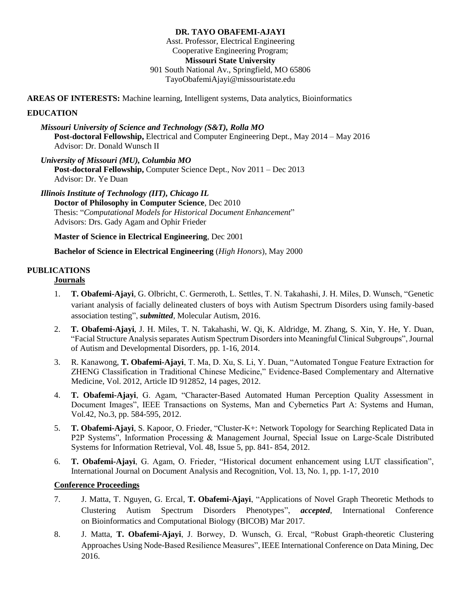## **DR. TAYO OBAFEMI-AJAYI**

Asst. Professor, Electrical Engineering Cooperative Engineering Program; **Missouri State University** 901 South National Av., Springfield, MO 65806 TayoObafemiAjayi@missouristate.edu

**AREAS OF INTERESTS:** Machine learning, Intelligent systems, Data analytics, Bioinformatics

### **EDUCATION**

*Missouri University of Science and Technology (S&T), Rolla MO* **Post-doctoral Fellowship,** Electrical and Computer Engineering Dept.*,* May 2014 – May 2016 Advisor: Dr. Donald Wunsch II

*University of Missouri (MU), Columbia MO* **Post-doctoral Fellowship,** Computer Science Dept.*,* Nov 2011 – Dec 2013 Advisor: Dr. Ye Duan

*Illinois Institute of Technology (IIT), Chicago IL* **Doctor of Philosophy in Computer Science**, Dec 2010 Thesis: "*Computational Models for Historical Document Enhancement*" Advisors: Drs. Gady Agam and Ophir Frieder

**Master of Science in Electrical Engineering**, Dec 2001

**Bachelor of Science in Electrical Engineering** (*High Honors*), May 2000

# **PUBLICATIONS**

# **Journals**

- 1. **T. Obafemi-Ajayi**, G. Olbricht, C. Germeroth, L. Settles, T. N. Takahashi, J. H. Miles, D. Wunsch, "Genetic variant analysis of facially delineated clusters of boys with Autism Spectrum Disorders using family-based association testing", *submitted*, Molecular Autism, 2016.
- 2. **T. Obafemi-Ajayi**, J. H. Miles, T. N. Takahashi, W. Qi, K. Aldridge, M. Zhang, S. Xin, Y. He, Y. Duan, "Facial Structure Analysis separates Autism Spectrum Disorders into Meaningful Clinical Subgroups", Journal of Autism and Developmental Disorders, pp. 1-16, 2014.
- 3. R. Kanawong, **T. Obafemi-Ajayi**, T. Ma, D. Xu, S. Li, Y. Duan, "Automated Tongue Feature Extraction for ZHENG Classification in Traditional Chinese Medicine," Evidence-Based Complementary and Alternative Medicine, Vol. 2012, Article ID 912852, 14 pages, 2012.
- 4. **T. Obafemi-Ajayi**, G. Agam, "Character-Based Automated Human Perception Quality Assessment in Document Images", IEEE Transactions on Systems, Man and Cybernetics Part A: Systems and Human, Vol.42, No.3, pp. 584-595, 2012.
- 5. **T. Obafemi-Ajayi**, S. Kapoor, O. Frieder, "Cluster-K+: Network Topology for Searching Replicated Data in P2P Systems", Information Processing & Management Journal, Special Issue on Large-Scale Distributed Systems for Information Retrieval, Vol. 48, Issue 5, pp. 841- 854, 2012.
- 6. **T. Obafemi-Ajayi**, G. Agam, O. Frieder, "Historical document enhancement using LUT classification", International Journal on Document Analysis and Recognition, Vol. 13, No. 1, pp. 1-17, 2010

## **Conference Proceedings**

- 7. J. Matta, T. Nguyen, G. Ercal, **T. Obafemi-Ajayi**, "Applications of Novel Graph Theoretic Methods to Clustering Autism Spectrum Disorders Phenotypes", *accepted*, International Conference on Bioinformatics and Computational Biology (BICOB) Mar 2017.
- 8. J. Matta, **T. Obafemi-Ajayi**, J. Borwey, D. Wunsch, G. Ercal, "Robust Graph-theoretic Clustering Approaches Using Node-Based Resilience Measures", IEEE International Conference on Data Mining, Dec 2016.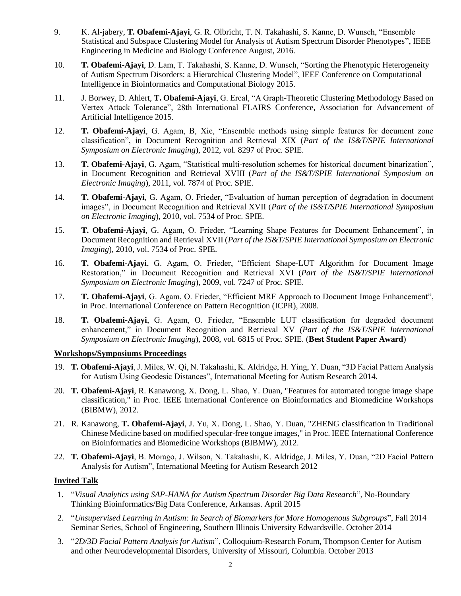- 9. K. Al-jabery, **T. Obafemi-Ajayi**, G. R. Olbricht, T. N. Takahashi, S. Kanne, D. Wunsch, "Ensemble Statistical and Subspace Clustering Model for Analysis of Autism Spectrum Disorder Phenotypes", IEEE Engineering in Medicine and Biology Conference August, 2016.
- 10. **T. Obafemi-Ajayi**, D. Lam, T. Takahashi, S. Kanne, D. Wunsch, "Sorting the Phenotypic Heterogeneity of Autism Spectrum Disorders: a Hierarchical Clustering Model", IEEE Conference on Computational Intelligence in Bioinformatics and Computational Biology 2015.
- 11. J. Borwey, D. Ahlert, **T. Obafemi-Ajayi**, G. Ercal, "A Graph-Theoretic Clustering Methodology Based on Vertex Attack Tolerance", 28th International FLAIRS Conference, Association for Advancement of Artificial Intelligence 2015.
- 12. **T. Obafemi-Ajayi**, G. Agam, B, Xie, "Ensemble methods using simple features for document zone classification", in Document Recognition and Retrieval XIX (*Part of the IS&T/SPIE International Symposium on Electronic Imaging*), 2012, vol. 8297 of Proc. SPIE.
- 13. **T. Obafemi-Ajayi**, G. Agam, "Statistical multi-resolution schemes for historical document binarization", in Document Recognition and Retrieval XVIII (*Part of the IS&T/SPIE International Symposium on Electronic Imaging*), 2011, vol. 7874 of Proc. SPIE.
- 14. **T. Obafemi-Ajayi**, G. Agam, O. Frieder, "Evaluation of human perception of degradation in document images", in Document Recognition and Retrieval XVII (*Part of the IS&T/SPIE International Symposium on Electronic Imaging*), 2010, vol. 7534 of Proc. SPIE.
- 15. **T. Obafemi-Ajayi**, G. Agam, O. Frieder, "Learning Shape Features for Document Enhancement", in Document Recognition and Retrieval XVII (*Part of the IS&T/SPIE International Symposium on Electronic Imaging*), 2010, vol. 7534 of Proc. SPIE.
- 16. **T. Obafemi-Ajayi**, G. Agam, O. Frieder, "Efficient Shape-LUT Algorithm for Document Image Restoration," in Document Recognition and Retrieval XVI (*Part of the IS&T/SPIE International Symposium on Electronic Imaging*), 2009, vol. 7247 of Proc. SPIE.
- 17. **T. Obafemi-Ajayi**, G. Agam, O. Frieder, "Efficient MRF Approach to Document Image Enhancement", in Proc. International Conference on Pattern Recognition (ICPR), 2008.
- 18. **T. Obafemi-Ajayi**, G. Agam, O. Frieder, "Ensemble LUT classification for degraded document enhancement," in Document Recognition and Retrieval XV *(Part of the IS&T/SPIE International Symposium on Electronic Imaging*), 2008, vol. 6815 of Proc. SPIE. (**Best Student Paper Award**)

#### **Workshops/Symposiums Proceedings**

- 19. **T. Obafemi-Ajayi**, J. Miles, W. Qi, N. Takahashi, K. Aldridge, H. Ying, Y. Duan, "3D Facial Pattern Analysis for Autism Using Geodesic Distances", International Meeting for Autism Research 2014.
- 20. **T. Obafemi-Ajayi**, R. Kanawong, X. Dong, L. Shao, Y. Duan, "Features for automated tongue image shape classification," in Proc. IEEE International Conference on Bioinformatics and Biomedicine Workshops (BIBMW), 2012.
- 21. R. Kanawong, **T. Obafemi-Ajayi**, J. Yu, X. Dong, L. Shao, Y. Duan, "ZHENG classification in Traditional Chinese Medicine based on modified specular-free tongue images," in Proc. IEEE International Conference on Bioinformatics and Biomedicine Workshops (BIBMW), 2012.
- 22. **T. Obafemi-Ajayi**, B. Morago, J. Wilson, N. Takahashi, K. Aldridge, J. Miles, Y. Duan, "2D Facial Pattern Analysis for Autism", International Meeting for Autism Research 2012

## **Invited Talk**

- 1. "*Visual Analytics using SAP-HANA for Autism Spectrum Disorder Big Data Research*", No-Boundary Thinking Bioinformatics/Big Data Conference, Arkansas. April 2015
- 2. "*Unsupervised Learning in Autism: In Search of Biomarkers for More Homogenous Subgroups*", Fall 2014 Seminar Series, School of Engineering, Southern Illinois University Edwardsville. October 2014
- 3. "*2D/3D Facial Pattern Analysis for Autism*", Colloquium-Research Forum, Thompson Center for Autism and other Neurodevelopmental Disorders, University of Missouri, Columbia. October 2013